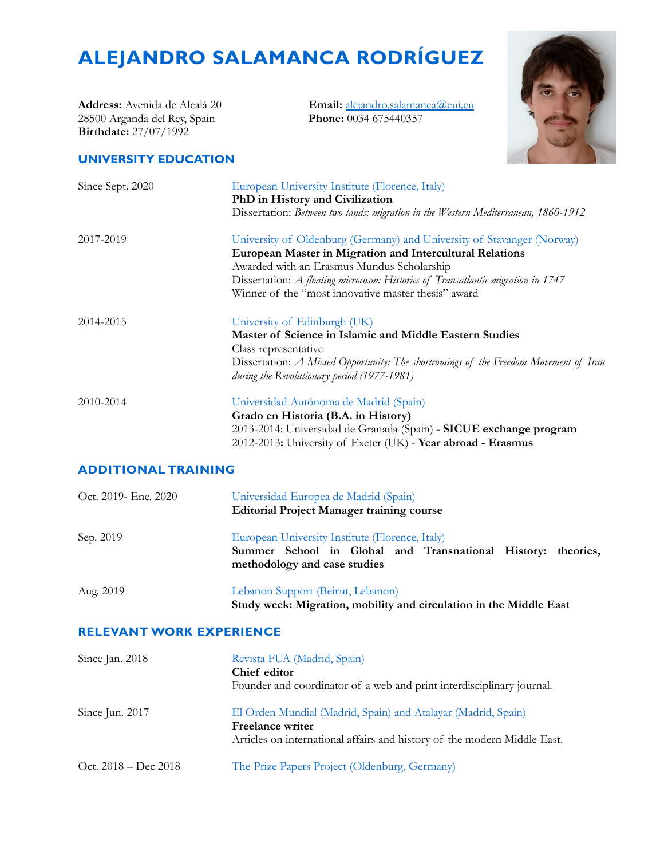# **ALEJANDRO SALAMANCA RODRÍGUEZ**

**Address:** Avenida de Alcalá 20 28500 Arganda del Rey, Spain **Birthdate:** 27/07/1992

**Email:** [alejandro.salamanca@eui.eu](mailto:alejandro.salamanca@eui.eu) **Phone:** 0034 675440357



#### **UNIVERSITY EDUCATION**

| Since Sept. 2020 | European University Institute (Florence, Italy)<br>PhD in History and Civilization                                                  |
|------------------|-------------------------------------------------------------------------------------------------------------------------------------|
|                  | Dissertation: Between two lands: migration in the Western Mediterranean, 1860-1912                                                  |
| 2017-2019        | University of Oldenburg (Germany) and University of Stavanger (Norway)                                                              |
|                  | European Master in Migration and Intercultural Relations                                                                            |
|                  | Awarded with an Erasmus Mundus Scholarship                                                                                          |
|                  | Dissertation: A floating microcosm: Histories of Transatlantic migration in 1747                                                    |
|                  | Winner of the "most innovative master thesis" award                                                                                 |
| 2014-2015        | University of Edinburgh (UK)                                                                                                        |
|                  | Master of Science in Islamic and Middle Eastern Studies                                                                             |
|                  | Class representative                                                                                                                |
|                  | Dissertation: A Missed Opportunity: The shortcomings of the Freedom Movement of Iran<br>during the Revolutionary period (1977-1981) |
| 2010-2014        | Universidad Autónoma de Madrid (Spain)                                                                                              |
|                  | Grado en Historia (B.A. in History)                                                                                                 |
|                  | 2013-2014: Universidad de Granada (Spain) - SICUE exchange program                                                                  |
|                  | 2012-2013: University of Exeter (UK) - Year abroad - Erasmus                                                                        |

## **ADDITIONAL TRAINING**

| Oct. 2019- Ene. 2020 | Universidad Europea de Madrid (Spain)<br><b>Editorial Project Manager training course</b>                                                       |  |  |
|----------------------|-------------------------------------------------------------------------------------------------------------------------------------------------|--|--|
| Sep. 2019            | European University Institute (Florence, Italy)<br>Summer School in Global and Transnational History: theories,<br>methodology and case studies |  |  |
| Aug. 2019            | Lebanon Support (Beirut, Lebanon)<br>Study week: Migration, mobility and circulation in the Middle East                                         |  |  |

### **RELEVANT WORK EXPERIENCE**

| Since Jan. 2018        | Revista FUA (Madrid, Spain)<br>Chief editor<br>Founder and coordinator of a web and print interdisciplinary journal.                                                 |  |
|------------------------|----------------------------------------------------------------------------------------------------------------------------------------------------------------------|--|
| Since Jun. 2017        | El Orden Mundial (Madrid, Spain) and Atalayar (Madrid, Spain)<br><b>Freelance writer</b><br>Articles on international affairs and history of the modern Middle East. |  |
| Oct. $2018 - Dec 2018$ | The Prize Papers Project (Oldenburg, Germany)                                                                                                                        |  |